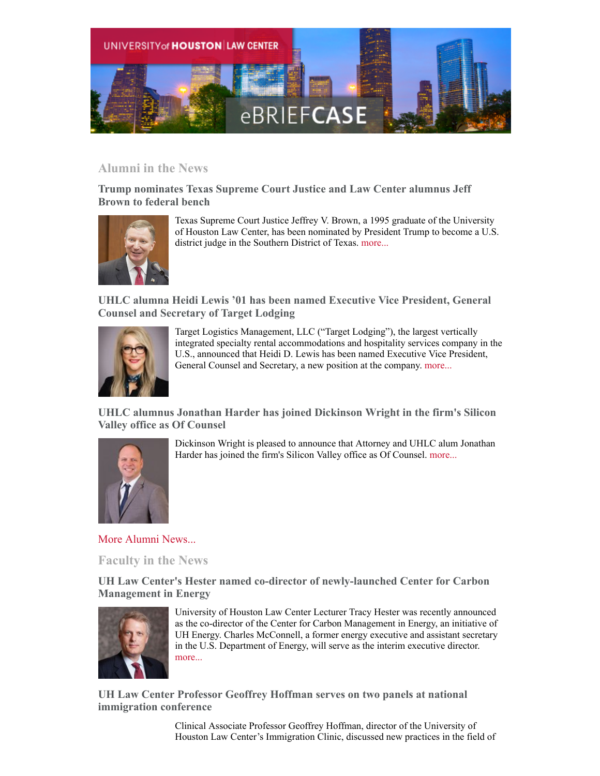

## **Alumni in the News**

**Trump nominates Texas Supreme Court Justice and Law Center alumnus Jeff Brown to federal bench**



Texas Supreme Court Justice Jeffrey V. Brown, a 1995 graduate of the University of Houston Law Center, has been nominated by President Trump to become a U.S. district judge in the Southern District of Texas. [more...](http://www.law.uh.edu/news/spring2019/0318brown.asp)

**UHLC alumna Heidi Lewis '01 has been named Executive Vice President, General Counsel and Secretary of Target Lodging**



Target Logistics Management, LLC ("Target Lodging"), the largest vertically integrated specialty rental accommodations and hospitality services company in the U.S., announced that Heidi D. Lewis has been named Executive Vice President, General Counsel and Secretary, a new position at the company. [more...](https://apnews.com/feb4ec12b9ef411bbc459f6edcfb3326)

**UHLC alumnus Jonathan Harder has joined Dickinson Wright in the firm's Silicon Valley office as Of Counsel**



Dickinson Wright is pleased to announce that Attorney and UHLC alum Jonathan Harder has joined the firm's Silicon Valley office as Of Counsel. [more...](https://www.prweb.com/releases/intellectual_property_attorney_jonathan_harder_joins_dickinson_wright_s_silicon_valley_office/prweb16058684.htm)

[More Alumni News...](http://www.law.uh.edu/alumni/alumni-in-the-news.asp)

**Faculty in the News**

**UH Law Center's Hester named co-director of newly-launched Center for Carbon Management in Energy**



University of Houston Law Center Lecturer Tracy Hester was recently announced as the co-director of the Center for Carbon Management in Energy, an initiative of UH Energy. Charles McConnell, a former energy executive and assistant secretary in the U.S. Department of Energy, will serve as the interim executive director. [more...](http://www.law.uh.edu/news/spring2019/0319Hester.asp)

**UH Law Center Professor Geoffrey Hoffman serves on two panels at national immigration conference**

> Clinical Associate Professor Geoffrey Hoffman, director of the University of Houston Law Center's Immigration Clinic, discussed new practices in the field of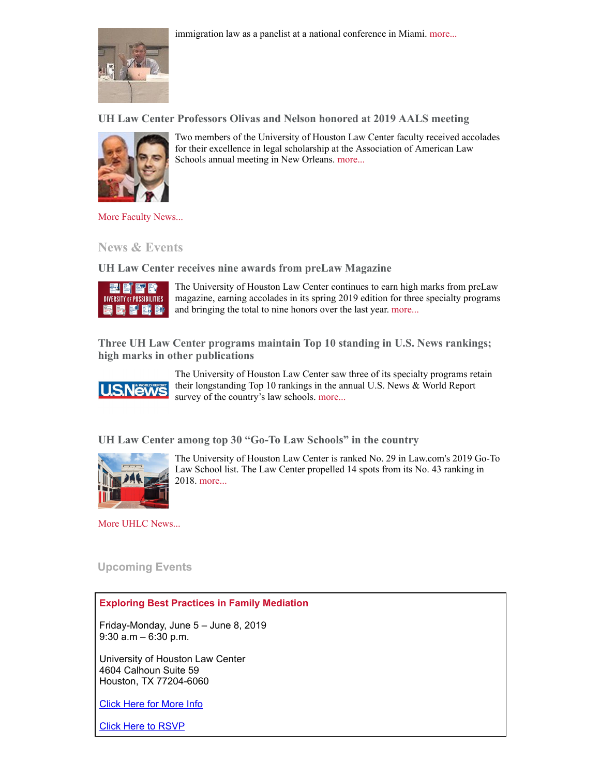immigration law as a panelist at a national conference in Miami. [more...](http://www.law.uh.edu/news/spring2019/0304Hoffman.asp)



**UH Law Center Professors Olivas and Nelson honored at 2019 AALS meeting**



Two members of the University of Houston Law Center faculty received accolades for their excellence in legal scholarship at the Association of American Law Schools annual meeting in New Orleans. [more...](http://www.law.uh.edu/news/spring2019/0104AALS.asp)

[More Faculty News...](http://www.law.uh.edu/news/uhlc-in-the-news.asp)

**News & Events**

**UH Law Center receives nine awards from preLaw Magazine**



The University of Houston Law Center continues to earn high marks from preLaw magazine, earning accolades in its spring 2019 edition for three specialty programs and bringing the total to nine honors over the last year. [more...](http://www.law.uh.edu/news/spring2019/0226preLaw.asp)

**Three UH Law Center programs maintain Top 10 standing in U.S. News rankings; high marks in other publications**



The University of Houston Law Center saw three of its specialty programs retain their longstanding Top 10 rankings in the annual U.S. News & World Report survey of the country's law schools. [more...](http://www.law.uh.edu/news/spring2019/0312Rankings.asp)

**UH Law Center among top 30 "Go-To Law Schools" in the country**



The University of Houston Law Center is ranked No. 29 in Law.com's 2019 Go-To Law School list. The Law Center propelled 14 spots from its No. 43 ranking in 2018. [more...](http://www.law.uh.edu/news/spring2019/0306uhlc.asp)

[More UHLC News...](http://www.law.uh.edu/news/homepage.asp)

 **Upcoming Events**

## **Exploring Best Practices in Family Mediation**

Friday-Monday, June 5 – June 8, 2019 9:30 a.m – 6:30 p.m.

University of Houston Law Center 4604 Calhoun Suite 59 Houston, TX 77204-6060

[Click Here for More Info](http://www.law.uh.edu/cle/2019-0605.pdf)

[Click Here to RSVP](http://www.law.uh.edu/blakely/aawhite/30-hour-family-mediation-training.asp)